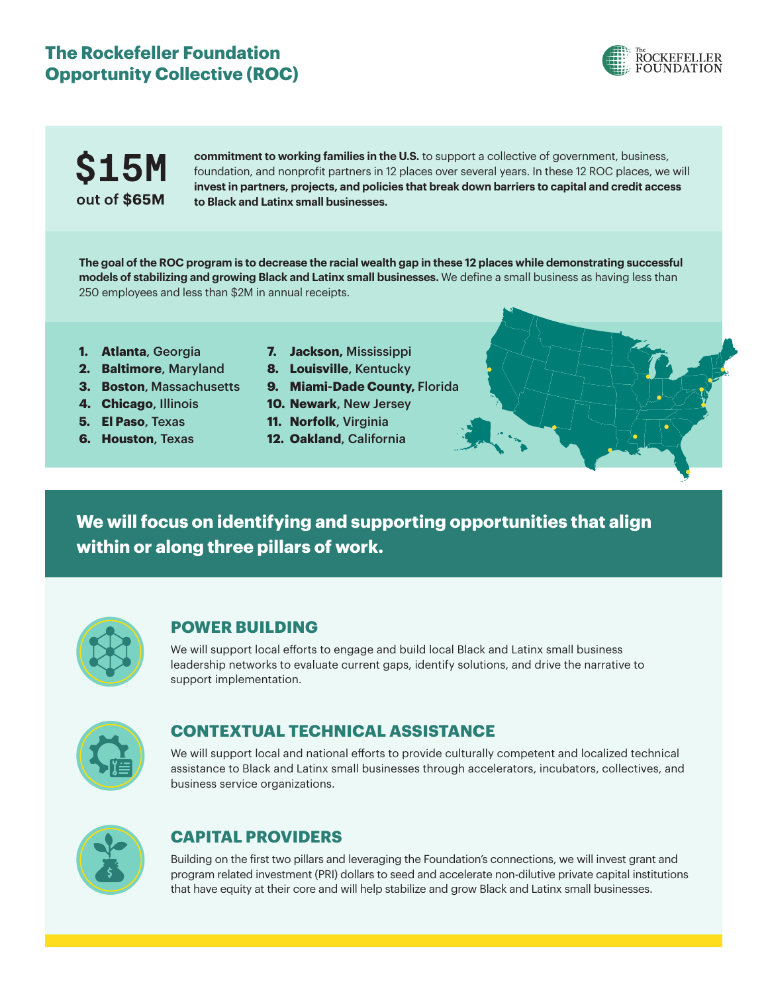### **The Rockefeller Foundation Opportunity Collective (ROC)**





**commitment to working families in the U.S.** to support a collective of government, business, foundation, and nonprofit partners in 12 places over several years. In these 12 ROC places, we will **invest in partners, projects, and policies that break down barriers to capital and credit access to Black and Latinx small businesses.**

**The goal of the ROC program is to decrease the racial wealth gap in these 12 places while demonstrating successful models of stabilizing and growing Black and Latinx small businesses.** We define a small business as having less than 250 employees and less than \$2M in annual receipts.

- **1. Atlanta**, Georgia
- **2. Baltimore**, Maryland
- **3. Boston**, Massachusetts
- **4. Chicago**, Illinois
- **5. El Paso**, Texas
- **6. Houston**, Texas
- **7. Jackson,** Mississippi
- **8. Louisville**, Kentucky
- **9. Miami-Dade County,** Florida
- **10. Newark**, New Jersey
- **11. Norfolk**, Virginia
- **12. Oakland**, California

**We will focus on identifying and supporting opportunities that align within or along three pillars of work.**



#### **POWER BUILDING**

We will support local efforts to engage and build local Black and Latinx small business leadership networks to evaluate current gaps, identify solutions, and drive the narrative to support implementation.



#### **CONTEXTUAL TECHNICAL ASSISTANCE**

We will support local and national efforts to provide culturally competent and localized technical assistance to Black and Latinx small businesses through accelerators, incubators, collectives, and business service organizations.



#### **CAPITAL PROVIDERS**

Building on the first two pillars and leveraging the Foundation's connections, we will invest grant and program related investment (PRI) dollars to seed and accelerate non-dilutive private capital institutions that have equity at their core and will help stabilize and grow Black and Latinx small businesses.